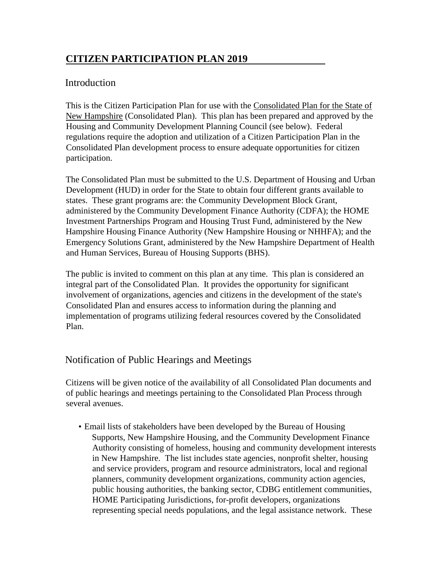# **CITIZEN PARTICIPATION PLAN 2019**

## Introduction

This is the Citizen Participation Plan for use with the Consolidated Plan for the State of New Hampshire (Consolidated Plan). This plan has been prepared and approved by the Housing and Community Development Planning Council (see below). Federal regulations require the adoption and utilization of a Citizen Participation Plan in the Consolidated Plan development process to ensure adequate opportunities for citizen participation.

The Consolidated Plan must be submitted to the U.S. Department of Housing and Urban Development (HUD) in order for the State to obtain four different grants available to states. These grant programs are: the Community Development Block Grant, administered by the Community Development Finance Authority (CDFA); the HOME Investment Partnerships Program and Housing Trust Fund, administered by the New Hampshire Housing Finance Authority (New Hampshire Housing or NHHFA); and the Emergency Solutions Grant, administered by the New Hampshire Department of Health and Human Services, Bureau of Housing Supports (BHS).

The public is invited to comment on this plan at any time. This plan is considered an integral part of the Consolidated Plan. It provides the opportunity for significant involvement of organizations, agencies and citizens in the development of the state's Consolidated Plan and ensures access to information during the planning and implementation of programs utilizing federal resources covered by the Consolidated Plan.

# Notification of Public Hearings and Meetings

Citizens will be given notice of the availability of all Consolidated Plan documents and of public hearings and meetings pertaining to the Consolidated Plan Process through several avenues.

• Email lists of stakeholders have been developed by the Bureau of Housing Supports, New Hampshire Housing, and the Community Development Finance Authority consisting of homeless, housing and community development interests in New Hampshire. The list includes state agencies, nonprofit shelter, housing and service providers, program and resource administrators, local and regional planners, community development organizations, community action agencies, public housing authorities, the banking sector, CDBG entitlement communities, HOME Participating Jurisdictions, for-profit developers, organizations representing special needs populations, and the legal assistance network. These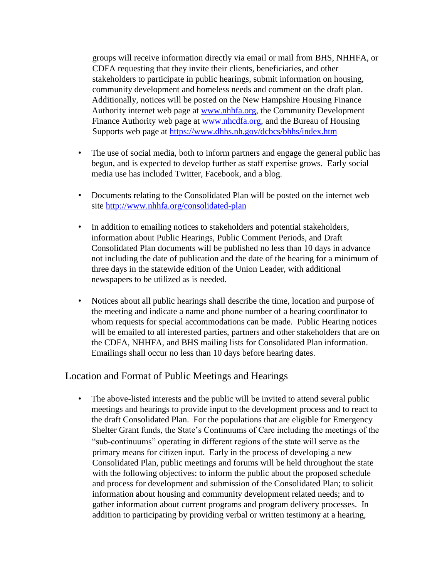groups will receive information directly via email or mail from BHS, NHHFA, or CDFA requesting that they invite their clients, beneficiaries, and other stakeholders to participate in public hearings, submit information on housing, community development and homeless needs and comment on the draft plan. Additionally, notices will be posted on the New Hampshire Housing Finance Authority internet web page at [www.nhhfa.org,](http://www.nhhfa.org/) the Community Development Finance Authority web page at [www.nhcdfa.org,](http://www.nhcdfa.org/) and the Bureau of Housing Supports web page at<https://www.dhhs.nh.gov/dcbcs/bhhs/index.htm>

- The use of social media, both to inform partners and engage the general public has begun, and is expected to develop further as staff expertise grows. Early social media use has included Twitter, Facebook, and a blog.
- Documents relating to the Consolidated Plan will be posted on the internet web site<http://www.nhhfa.org/consolidated-plan>
- In addition to emailing notices to stakeholders and potential stakeholders, information about Public Hearings, Public Comment Periods, and Draft Consolidated Plan documents will be published no less than 10 days in advance not including the date of publication and the date of the hearing for a minimum of three days in the statewide edition of the Union Leader, with additional newspapers to be utilized as is needed.
- Notices about all public hearings shall describe the time, location and purpose of the meeting and indicate a name and phone number of a hearing coordinator to whom requests for special accommodations can be made. Public Hearing notices will be emailed to all interested parties, partners and other stakeholders that are on the CDFA, NHHFA, and BHS mailing lists for Consolidated Plan information. Emailings shall occur no less than 10 days before hearing dates.

### Location and Format of Public Meetings and Hearings

• The above-listed interests and the public will be invited to attend several public meetings and hearings to provide input to the development process and to react to the draft Consolidated Plan. For the populations that are eligible for Emergency Shelter Grant funds, the State's Continuums of Care including the meetings of the "sub-continuums" operating in different regions of the state will serve as the primary means for citizen input. Early in the process of developing a new Consolidated Plan, public meetings and forums will be held throughout the state with the following objectives: to inform the public about the proposed schedule and process for development and submission of the Consolidated Plan; to solicit information about housing and community development related needs; and to gather information about current programs and program delivery processes. In addition to participating by providing verbal or written testimony at a hearing,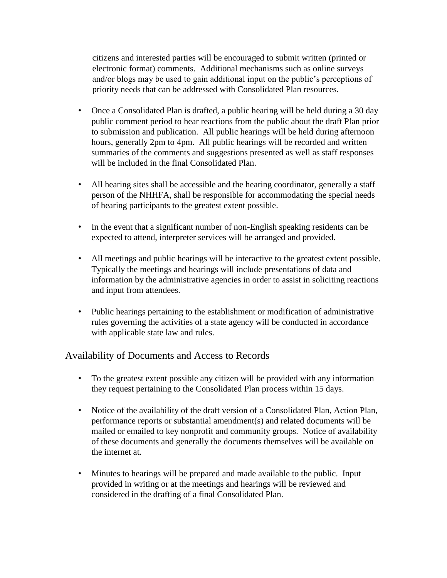citizens and interested parties will be encouraged to submit written (printed or electronic format) comments. Additional mechanisms such as online surveys and/or blogs may be used to gain additional input on the public's perceptions of priority needs that can be addressed with Consolidated Plan resources.

- Once a Consolidated Plan is drafted, a public hearing will be held during a 30 day public comment period to hear reactions from the public about the draft Plan prior to submission and publication. All public hearings will be held during afternoon hours, generally 2pm to 4pm. All public hearings will be recorded and written summaries of the comments and suggestions presented as well as staff responses will be included in the final Consolidated Plan.
- All hearing sites shall be accessible and the hearing coordinator, generally a staff person of the NHHFA, shall be responsible for accommodating the special needs of hearing participants to the greatest extent possible.
- In the event that a significant number of non-English speaking residents can be expected to attend, interpreter services will be arranged and provided.
- All meetings and public hearings will be interactive to the greatest extent possible. Typically the meetings and hearings will include presentations of data and information by the administrative agencies in order to assist in soliciting reactions and input from attendees.
- Public hearings pertaining to the establishment or modification of administrative rules governing the activities of a state agency will be conducted in accordance with applicable state law and rules.

## Availability of Documents and Access to Records

- To the greatest extent possible any citizen will be provided with any information they request pertaining to the Consolidated Plan process within 15 days.
- Notice of the availability of the draft version of a Consolidated Plan, Action Plan, performance reports or substantial amendment(s) and related documents will be mailed or emailed to key nonprofit and community groups. Notice of availability of these documents and generally the documents themselves will be available on the internet at.
- Minutes to hearings will be prepared and made available to the public. Input provided in writing or at the meetings and hearings will be reviewed and considered in the drafting of a final Consolidated Plan.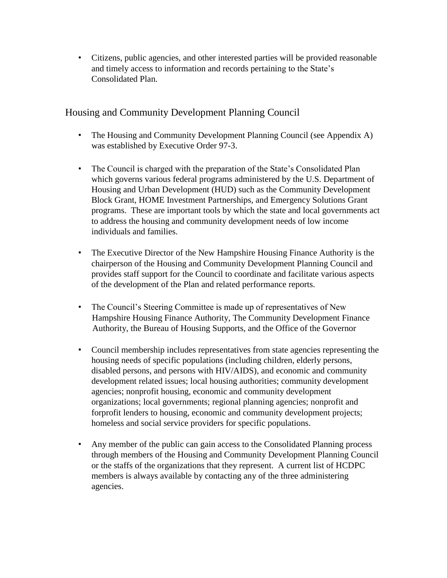• Citizens, public agencies, and other interested parties will be provided reasonable and timely access to information and records pertaining to the State's Consolidated Plan.

# Housing and Community Development Planning Council

- The Housing and Community Development Planning Council (see Appendix A) was established by Executive Order 97-3.
- The Council is charged with the preparation of the State's Consolidated Plan which governs various federal programs administered by the U.S. Department of Housing and Urban Development (HUD) such as the Community Development Block Grant, HOME Investment Partnerships, and Emergency Solutions Grant programs. These are important tools by which the state and local governments act to address the housing and community development needs of low income individuals and families.
- The Executive Director of the New Hampshire Housing Finance Authority is the chairperson of the Housing and Community Development Planning Council and provides staff support for the Council to coordinate and facilitate various aspects of the development of the Plan and related performance reports.
- The Council's Steering Committee is made up of representatives of New Hampshire Housing Finance Authority, The Community Development Finance Authority, the Bureau of Housing Supports, and the Office of the Governor
- Council membership includes representatives from state agencies representing the housing needs of specific populations (including children, elderly persons, disabled persons, and persons with HIV/AIDS), and economic and community development related issues; local housing authorities; community development agencies; nonprofit housing, economic and community development organizations; local governments; regional planning agencies; nonprofit and forprofit lenders to housing, economic and community development projects; homeless and social service providers for specific populations.
- Any member of the public can gain access to the Consolidated Planning process through members of the Housing and Community Development Planning Council or the staffs of the organizations that they represent. A current list of HCDPC members is always available by contacting any of the three administering agencies.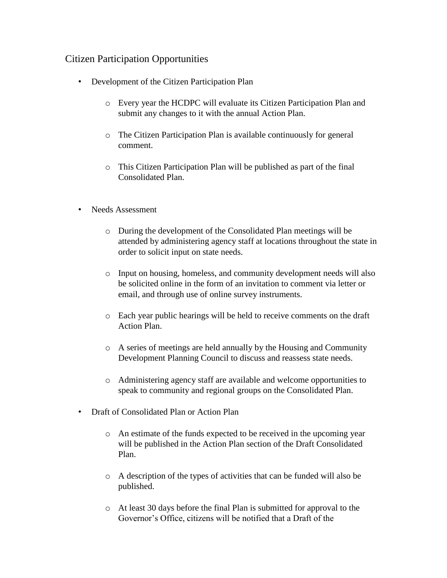## Citizen Participation Opportunities

- Development of the Citizen Participation Plan
	- o Every year the HCDPC will evaluate its Citizen Participation Plan and submit any changes to it with the annual Action Plan.
	- o The Citizen Participation Plan is available continuously for general comment.
	- o This Citizen Participation Plan will be published as part of the final Consolidated Plan.
- Needs Assessment
	- o During the development of the Consolidated Plan meetings will be attended by administering agency staff at locations throughout the state in order to solicit input on state needs.
	- o Input on housing, homeless, and community development needs will also be solicited online in the form of an invitation to comment via letter or email, and through use of online survey instruments.
	- o Each year public hearings will be held to receive comments on the draft Action Plan.
	- o A series of meetings are held annually by the Housing and Community Development Planning Council to discuss and reassess state needs.
	- o Administering agency staff are available and welcome opportunities to speak to community and regional groups on the Consolidated Plan.
- Draft of Consolidated Plan or Action Plan
	- o An estimate of the funds expected to be received in the upcoming year will be published in the Action Plan section of the Draft Consolidated Plan.
	- o A description of the types of activities that can be funded will also be published.
	- o At least 30 days before the final Plan is submitted for approval to the Governor's Office, citizens will be notified that a Draft of the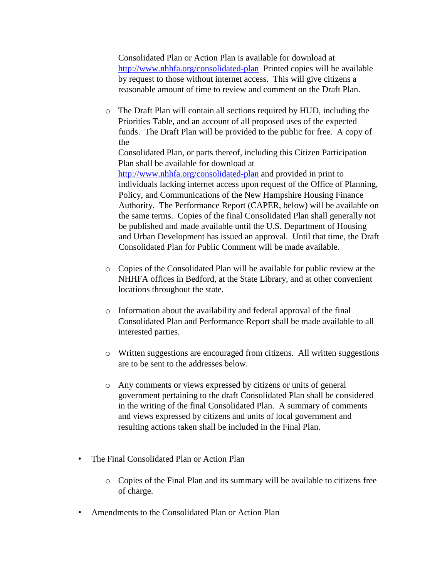Consolidated Plan or Action Plan is available for download at <http://www.nhhfa.org/consolidated-plan> Printed copies will be available by request to those without internet access. This will give citizens a reasonable amount of time to review and comment on the Draft Plan.

- o The Draft Plan will contain all sections required by HUD, including the Priorities Table, and an account of all proposed uses of the expected funds. The Draft Plan will be provided to the public for free. A copy of the Consolidated Plan, or parts thereof, including this Citizen Participation Plan shall be available for download at <http://www.nhhfa.org/consolidated-plan> and provided in print to individuals lacking internet access upon request of the Office of Planning, Policy, and Communications of the New Hampshire Housing Finance Authority. The Performance Report (CAPER, below) will be available on the same terms. Copies of the final Consolidated Plan shall generally not be published and made available until the U.S. Department of Housing and Urban Development has issued an approval. Until that time, the Draft Consolidated Plan for Public Comment will be made available.
- o Copies of the Consolidated Plan will be available for public review at the NHHFA offices in Bedford, at the State Library, and at other convenient locations throughout the state.
- o Information about the availability and federal approval of the final Consolidated Plan and Performance Report shall be made available to all interested parties.
- o Written suggestions are encouraged from citizens. All written suggestions are to be sent to the addresses below.
- o Any comments or views expressed by citizens or units of general government pertaining to the draft Consolidated Plan shall be considered in the writing of the final Consolidated Plan. A summary of comments and views expressed by citizens and units of local government and resulting actions taken shall be included in the Final Plan.
- The Final Consolidated Plan or Action Plan
	- o Copies of the Final Plan and its summary will be available to citizens free of charge.
- Amendments to the Consolidated Plan or Action Plan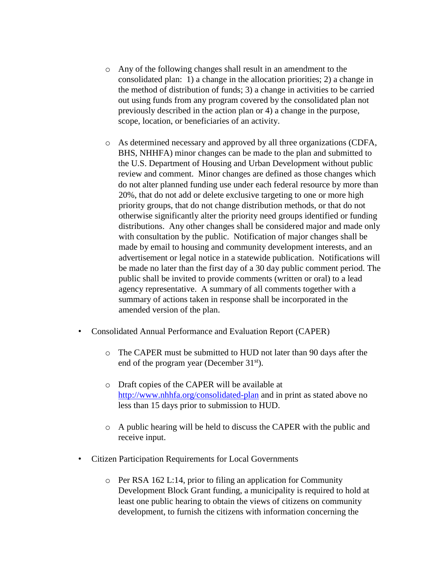- o Any of the following changes shall result in an amendment to the consolidated plan: 1) a change in the allocation priorities; 2) a change in the method of distribution of funds; 3) a change in activities to be carried out using funds from any program covered by the consolidated plan not previously described in the action plan or 4) a change in the purpose, scope, location, or beneficiaries of an activity.
- o As determined necessary and approved by all three organizations (CDFA, BHS, NHHFA) minor changes can be made to the plan and submitted to the U.S. Department of Housing and Urban Development without public review and comment. Minor changes are defined as those changes which do not alter planned funding use under each federal resource by more than 20%, that do not add or delete exclusive targeting to one or more high priority groups, that do not change distribution methods, or that do not otherwise significantly alter the priority need groups identified or funding distributions. Any other changes shall be considered major and made only with consultation by the public. Notification of major changes shall be made by email to housing and community development interests, and an advertisement or legal notice in a statewide publication. Notifications will be made no later than the first day of a 30 day public comment period. The public shall be invited to provide comments (written or oral) to a lead agency representative. A summary of all comments together with a summary of actions taken in response shall be incorporated in the amended version of the plan.
- Consolidated Annual Performance and Evaluation Report (CAPER)
	- o The CAPER must be submitted to HUD not later than 90 days after the end of the program year (December 31<sup>st</sup>).
	- o Draft copies of the CAPER will be available at <http://www.nhhfa.org/consolidated-plan> and in print as stated above no less than 15 days prior to submission to HUD.
	- o A public hearing will be held to discuss the CAPER with the public and receive input.
- Citizen Participation Requirements for Local Governments
	- o Per RSA 162 L:14, prior to filing an application for Community Development Block Grant funding, a municipality is required to hold at least one public hearing to obtain the views of citizens on community development, to furnish the citizens with information concerning the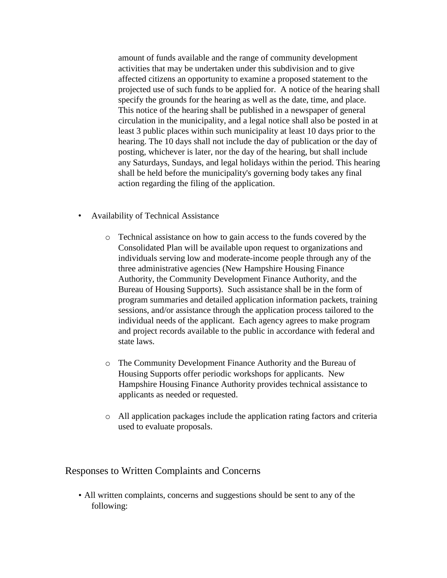amount of funds available and the range of community development activities that may be undertaken under this subdivision and to give affected citizens an opportunity to examine a proposed statement to the projected use of such funds to be applied for. A notice of the hearing shall specify the grounds for the hearing as well as the date, time, and place. This notice of the hearing shall be published in a newspaper of general circulation in the municipality, and a legal notice shall also be posted in at least 3 public places within such municipality at least 10 days prior to the hearing. The 10 days shall not include the day of publication or the day of posting, whichever is later, nor the day of the hearing, but shall include any Saturdays, Sundays, and legal holidays within the period. This hearing shall be held before the municipality's governing body takes any final action regarding the filing of the application.

- Availability of Technical Assistance
	- o Technical assistance on how to gain access to the funds covered by the Consolidated Plan will be available upon request to organizations and individuals serving low and moderate-income people through any of the three administrative agencies (New Hampshire Housing Finance Authority, the Community Development Finance Authority, and the Bureau of Housing Supports). Such assistance shall be in the form of program summaries and detailed application information packets, training sessions, and/or assistance through the application process tailored to the individual needs of the applicant. Each agency agrees to make program and project records available to the public in accordance with federal and state laws.
	- o The Community Development Finance Authority and the Bureau of Housing Supports offer periodic workshops for applicants. New Hampshire Housing Finance Authority provides technical assistance to applicants as needed or requested.
	- o All application packages include the application rating factors and criteria used to evaluate proposals.

### Responses to Written Complaints and Concerns

• All written complaints, concerns and suggestions should be sent to any of the following: